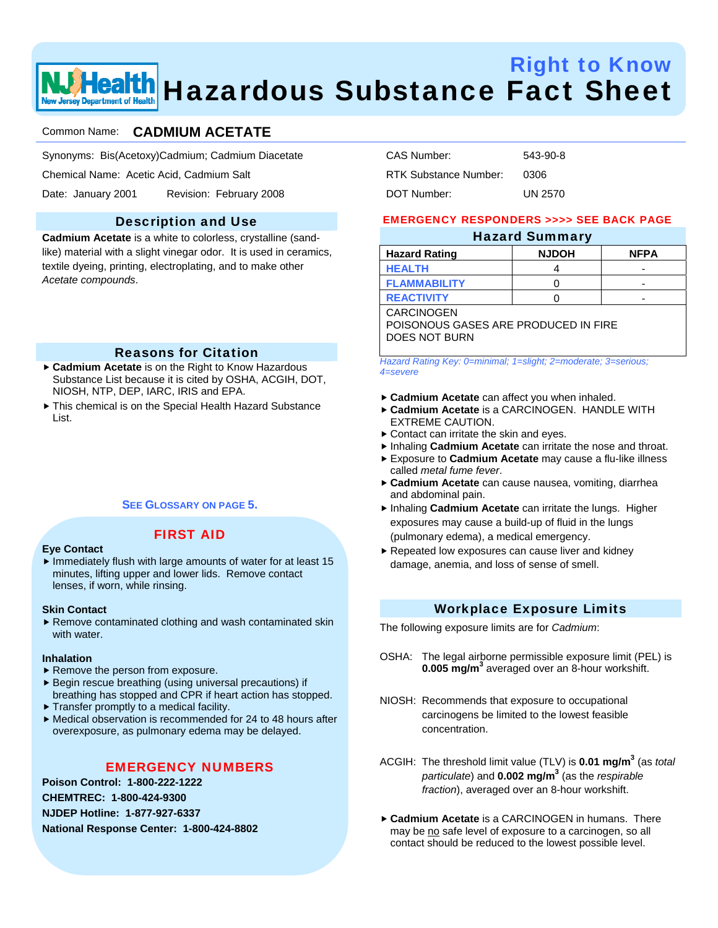# Right to Know We Health Hazardous Substance Fact Sheet

# Common Name: **CADMIUM ACETATE**

Synonyms: Bis(Acetoxy)Cadmium; Cadmium Diacetate

Chemical Name: Acetic Acid, Cadmium Salt

Date: January 2001 Revision: February 2008

## Description and Use

**Cadmium Acetate** is a white to colorless, crystalline (sandlike) material with a slight vinegar odor. It is used in ceramics, textile dyeing, printing, electroplating, and to make other *Acetate compounds*.

#### Reasons for Citation

- ▶ Cadmium Acetate is on the Right to Know Hazardous Substance List because it is cited by OSHA, ACGIH, DOT, NIOSH, NTP, DEP, IARC, IRIS and EPA.
- $\blacktriangleright$  This chemical is on the Special Health Hazard Substance List.

#### **SEE GLOSSARY ON PAGE 5.**

# FIRST AID

#### **Eye Contact**

 $\blacktriangleright$  Immediately flush with large amounts of water for at least 15 minutes, lifting upper and lower lids. Remove contact lenses, if worn, while rinsing.

#### **Skin Contact**

 $\blacktriangleright$  Remove contaminated clothing and wash contaminated skin with water.

#### **Inhalation**

- $\blacktriangleright$  Remove the person from exposure.
- $\blacktriangleright$  Begin rescue breathing (using universal precautions) if breathing has stopped and CPR if heart action has stopped.
- $\blacktriangleright$  Transfer promptly to a medical facility.
- $\blacktriangleright$  Medical observation is recommended for 24 to 48 hours after overexposure, as pulmonary edema may be delayed.

#### EMERGENCY NUMBERS

**Poison Control: 1-800-222-1222 CHEMTREC: 1-800-424-9300 NJDEP Hotline: 1-877-927-6337 National Response Center: 1-800-424-8802** 

| CAS Number:           | 543-90-8 |
|-----------------------|----------|
| RTK Substance Number: | 0306     |
| DOT Number:           | UN 2570  |

#### EMERGENCY RESPONDERS >>>> SEE BACK PAGE

#### Hazard Summary

| <b>Hazard Rating</b> | <b>NJDOH</b> | <b>NFPA</b> |  |  |
|----------------------|--------------|-------------|--|--|
| <b>HEALTH</b>        |              | -           |  |  |
| <b>FLAMMABILITY</b>  |              | -           |  |  |
| <b>REACTIVITY</b>    |              | -           |  |  |
|                      |              |             |  |  |

CARCINOGEN POISONOUS GASES ARE PRODUCED IN FIRE DOES NOT BURN

*Hazard Rating Key: 0=minimal; 1=slight; 2=moderate; 3=serious; 4=severe*

- **Cadmium Acetate** can affect you when inhaled.
- f **Cadmium Acetate** is a CARCINOGEN. HANDLE WITH EXTREME CAUTION.
- $\triangleright$  Contact can irritate the skin and eyes.
- **h** Inhaling **Cadmium Acetate** can irritate the nose and throat.
- **Exposure to Cadmium Acetate** may cause a flu-like illness called *metal fume fever*.
- **Cadmium Acetate** can cause nausea, vomiting, diarrhea and abdominal pain.
- **haltimum Acetate** can irritate the lungs. Higher exposures may cause a build-up of fluid in the lungs (pulmonary edema), a medical emergency.
- $\blacktriangleright$  Repeated low exposures can cause liver and kidney damage, anemia, and loss of sense of smell.

## Workplace Exposure Limits

The following exposure limits are for *Cadmium*:

- OSHA: The legal airborne permissible exposure limit (PEL) is **0.005 mg/m<sup>3</sup> averaged over an 8-hour workshift.**
- NIOSH: Recommends that exposure to occupational carcinogens be limited to the lowest feasible concentration.
- ACGIH: The threshold limit value (TLV) is **0.01 mg/m3** (as *total particulate*) and **0.002 mg/m3** (as the *respirable fraction*), averaged over an 8-hour workshift.
- **Cadmium Acetate** is a CARCINOGEN in humans. There may be no safe level of exposure to a carcinogen, so all contact should be reduced to the lowest possible level.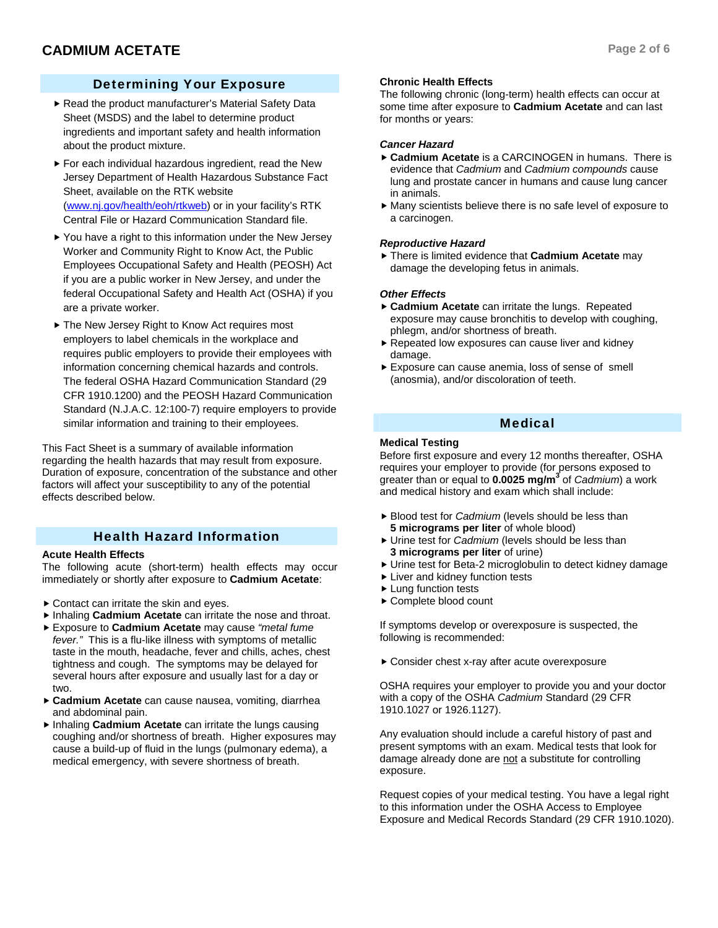# Determining Your Exposure

- Read the product manufacturer's Material Safety Data Sheet (MSDS) and the label to determine product ingredients and important safety and health information about the product mixture.
- $\blacktriangleright$  For each individual hazardous ingredient, read the New Jersey Department of Health Hazardous Substance Fact Sheet, available on the RTK website (www.nj.gov/health/eoh/rtkweb) or in your facility's RTK Central File or Hazard Communication Standard file.
- $\blacktriangleright$  You have a right to this information under the New Jersey Worker and Community Right to Know Act, the Public Employees Occupational Safety and Health (PEOSH) Act if you are a public worker in New Jersey, and under the federal Occupational Safety and Health Act (OSHA) if you are a private worker.
- ▶ The New Jersey Right to Know Act requires most employers to label chemicals in the workplace and requires public employers to provide their employees with information concerning chemical hazards and controls. The federal OSHA Hazard Communication Standard (29 CFR 1910.1200) and the PEOSH Hazard Communication Standard (N.J.A.C. 12:100-7) require employers to provide similar information and training to their employees.

This Fact Sheet is a summary of available information regarding the health hazards that may result from exposure. Duration of exposure, concentration of the substance and other factors will affect your susceptibility to any of the potential effects described below.

## Health Hazard Information

#### **Acute Health Effects**

The following acute (short-term) health effects may occur immediately or shortly after exposure to **Cadmium Acetate**:

- $\triangleright$  Contact can irritate the skin and eves.
- **F** Inhaling **Cadmium Acetate** can irritate the nose and throat.
- f Exposure to **Cadmium Acetate** may cause *"metal fume fever."* This is a flu-like illness with symptoms of metallic taste in the mouth, headache, fever and chills, aches, chest tightness and cough. The symptoms may be delayed for several hours after exposure and usually last for a day or two.
- **Cadmium Acetate** can cause nausea, vomiting, diarrhea and abdominal pain.
- **F** Inhaling **Cadmium Acetate** can irritate the lungs causing coughing and/or shortness of breath. Higher exposures may cause a build-up of fluid in the lungs (pulmonary edema), a medical emergency, with severe shortness of breath.

#### **Chronic Health Effects**

The following chronic (long-term) health effects can occur at some time after exposure to **Cadmium Acetate** and can last for months or years:

#### *Cancer Hazard*

- **► Cadmium Acetate** is a CARCINOGEN in humans. There is evidence that *Cadmium* and *Cadmium compounds* cause lung and prostate cancer in humans and cause lung cancer in animals.
- $\blacktriangleright$  Many scientists believe there is no safe level of exposure to a carcinogen.

#### *Reproductive Hazard*

 $\triangleright$  There is limited evidence that **Cadmium Acetate** may damage the developing fetus in animals.

#### *Other Effects*

- **► Cadmium Acetate** can irritate the lungs. Repeated exposure may cause bronchitis to develop with coughing, phlegm, and/or shortness of breath.
- $\blacktriangleright$  Repeated low exposures can cause liver and kidney damage.
- $\blacktriangleright$  Exposure can cause anemia, loss of sense of smell (anosmia), and/or discoloration of teeth.

#### Medical

#### **Medical Testing**

Before first exposure and every 12 months thereafter, OSHA requires your employer to provide (for persons exposed to greater than or equal to **0.0025 mg/m3** of *Cadmium*) a work and medical history and exam which shall include:

- ▶ Blood test for *Cadmium* (levels should be less than **5 micrograms per liter** of whole blood)
- ▶ Urine test for *Cadmium* (levels should be less than **3 micrograms per liter** of urine)
- $\blacktriangleright$  Urine test for Beta-2 microglobulin to detect kidney damage
- $\blacktriangleright$  Liver and kidney function tests
- $\blacktriangleright$  Lung function tests
- $\blacktriangleright$  Complete blood count

If symptoms develop or overexposure is suspected, the following is recommended:

 $\triangleright$  Consider chest x-ray after acute overexposure

OSHA requires your employer to provide you and your doctor with a copy of the OSHA *Cadmium* Standard (29 CFR 1910.1027 or 1926.1127).

Any evaluation should include a careful history of past and present symptoms with an exam. Medical tests that look for damage already done are not a substitute for controlling exposure.

Request copies of your medical testing. You have a legal right to this information under the OSHA Access to Employee Exposure and Medical Records Standard (29 CFR 1910.1020).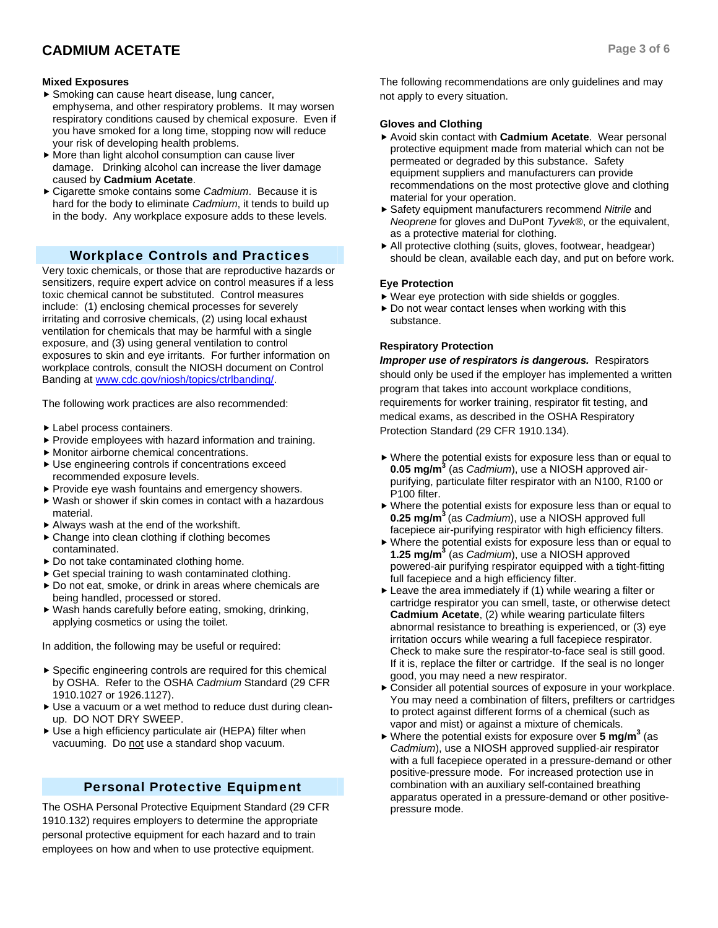# **CADMIUM ACETATE Page 3 of 6**

#### **Mixed Exposures**

- $\blacktriangleright$  Smoking can cause heart disease, lung cancer, emphysema, and other respiratory problems. It may worsen respiratory conditions caused by chemical exposure. Even if you have smoked for a long time, stopping now will reduce your risk of developing health problems.
- $\blacktriangleright$  More than light alcohol consumption can cause liver damage. Drinking alcohol can increase the liver damage caused by **Cadmium Acetate**.
- f Cigarette smoke contains some *Cadmium*. Because it is hard for the body to eliminate *Cadmium*, it tends to build up in the body. Any workplace exposure adds to these levels.

## Workplace Controls and Practices

Very toxic chemicals, or those that are reproductive hazards or sensitizers, require expert advice on control measures if a less toxic chemical cannot be substituted. Control measures include: (1) enclosing chemical processes for severely irritating and corrosive chemicals, (2) using local exhaust ventilation for chemicals that may be harmful with a single exposure, and (3) using general ventilation to control exposures to skin and eye irritants. For further information on workplace controls, consult the NIOSH document on Control Banding at www.cdc.gov/niosh/topics/ctrlbanding/.

The following work practices are also recommended:

- $\blacktriangleright$  Label process containers.
- $\blacktriangleright$  Provide employees with hazard information and training.
- $\blacktriangleright$  Monitor airborne chemical concentrations.
- $\blacktriangleright$  Use engineering controls if concentrations exceed recommended exposure levels.
- $\blacktriangleright$  Provide eye wash fountains and emergency showers.
- $\triangleright$  Wash or shower if skin comes in contact with a hazardous material.
- $\blacktriangleright$  Always wash at the end of the workshift.
- $\triangleright$  Change into clean clothing if clothing becomes contaminated.
- $\blacktriangleright$  Do not take contaminated clothing home.
- $\blacktriangleright$  Get special training to wash contaminated clothing.
- Do not eat, smoke, or drink in areas where chemicals are being handled, processed or stored.
- $\blacktriangleright$  Wash hands carefully before eating, smoking, drinking, applying cosmetics or using the toilet.

In addition, the following may be useful or required:

- $\triangleright$  Specific engineering controls are required for this chemical by OSHA. Refer to the OSHA *Cadmium* Standard (29 CFR 1910.1027 or 1926.1127).
- Use a vacuum or a wet method to reduce dust during cleanup. DO NOT DRY SWEEP.
- $\blacktriangleright$  Use a high efficiency particulate air (HEPA) filter when vacuuming. Do not use a standard shop vacuum.

# Personal Protective Equipment

The OSHA Personal Protective Equipment Standard (29 CFR 1910.132) requires employers to determine the appropriate personal protective equipment for each hazard and to train employees on how and when to use protective equipment.

The following recommendations are only guidelines and may not apply to every situation.

#### **Gloves and Clothing**

- ▶ Avoid skin contact with **Cadmium Acetate**. Wear personal protective equipment made from material which can not be permeated or degraded by this substance. Safety equipment suppliers and manufacturers can provide recommendations on the most protective glove and clothing material for your operation.
- **F** Safety equipment manufacturers recommend *Nitrile* and *Neoprene* for gloves and DuPont *Tyvek®*, or the equivalent, as a protective material for clothing.
- $\blacktriangleright$  All protective clothing (suits, gloves, footwear, headgear) should be clean, available each day, and put on before work.

#### **Eye Protection**

- $\blacktriangleright$  Wear eye protection with side shields or goggles.
- $\triangleright$  Do not wear contact lenses when working with this substance.

#### **Respiratory Protection**

*Improper use of respirators is dangerous.* Respirators should only be used if the employer has implemented a written program that takes into account workplace conditions, requirements for worker training, respirator fit testing, and medical exams, as described in the OSHA Respiratory Protection Standard (29 CFR 1910.134).

- $\blacktriangleright$  Where the potential exists for exposure less than or equal to **0.05 mg/m3** (as *Cadmium*), use a NIOSH approved airpurifying, particulate filter respirator with an N100, R100 or P100 filter.
- $\blacktriangleright$  Where the potential exists for exposure less than or equal to **0.25 mg/m3** (as *Cadmium*), use a NIOSH approved full facepiece air-purifying respirator with high efficiency filters.
- $\blacktriangleright$  Where the potential exists for exposure less than or equal to **1.25 mg/m3** (as *Cadmium*), use a NIOSH approved powered-air purifying respirator equipped with a tight-fitting full facepiece and a high efficiency filter.
- $\blacktriangleright$  Leave the area immediately if (1) while wearing a filter or cartridge respirator you can smell, taste, or otherwise detect **Cadmium Acetate**, (2) while wearing particulate filters abnormal resistance to breathing is experienced, or (3) eye irritation occurs while wearing a full facepiece respirator. Check to make sure the respirator-to-face seal is still good. If it is, replace the filter or cartridge. If the seal is no longer good, you may need a new respirator.
- $\triangleright$  Consider all potential sources of exposure in your workplace. You may need a combination of filters, prefilters or cartridges to protect against different forms of a chemical (such as vapor and mist) or against a mixture of chemicals.
- $\triangleright$  Where the potential exists for exposure over **5 mg/m<sup>3</sup>** (as *Cadmium*), use a NIOSH approved supplied-air respirator with a full facepiece operated in a pressure-demand or other positive-pressure mode. For increased protection use in combination with an auxiliary self-contained breathing apparatus operated in a pressure-demand or other positivepressure mode.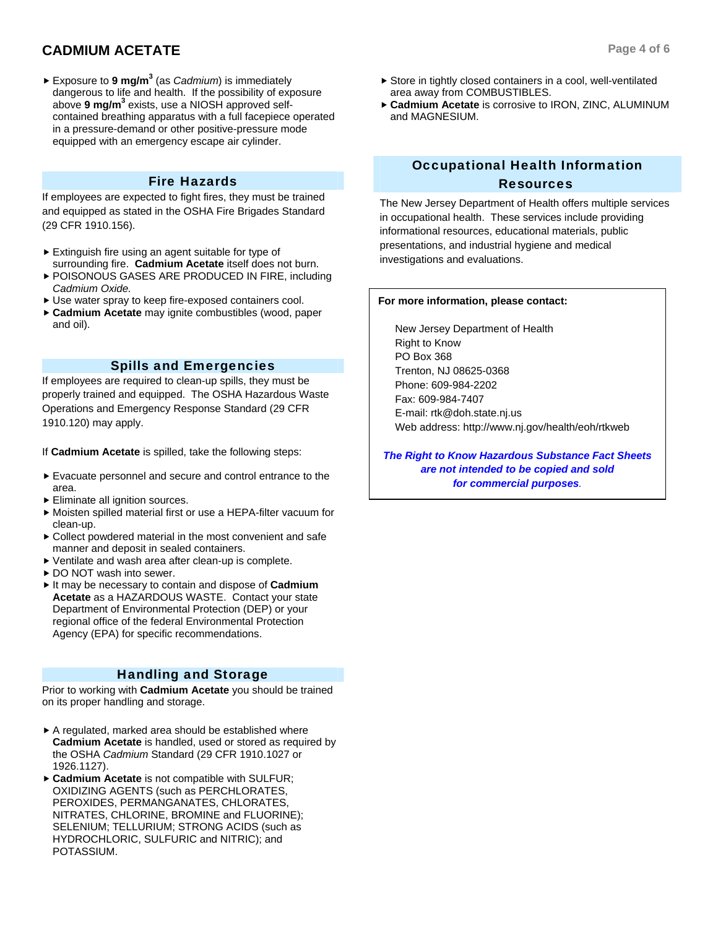# **CADMIUM ACETATE** Page 4 of 6

▶ Exposure to 9 mg/m<sup>3</sup> (as *Cadmium*) is immediately dangerous to life and health. If the possibility of exposure above **9 mg/m3** exists, use a NIOSH approved selfcontained breathing apparatus with a full facepiece operated in a pressure-demand or other positive-pressure mode equipped with an emergency escape air cylinder.

# Fire Hazards

If employees are expected to fight fires, they must be trained and equipped as stated in the OSHA Fire Brigades Standard (29 CFR 1910.156).

- $\blacktriangleright$  Extinguish fire using an agent suitable for type of surrounding fire. **Cadmium Acetate** itself does not burn.
- **POISONOUS GASES ARE PRODUCED IN FIRE, including** *Cadmium Oxide.*
- $\blacktriangleright$  Use water spray to keep fire-exposed containers cool.
- ▶ Cadmium Acetate may ignite combustibles (wood, paper and oil).

#### Spills and Emergencies

If employees are required to clean-up spills, they must be properly trained and equipped. The OSHA Hazardous Waste Operations and Emergency Response Standard (29 CFR 1910.120) may apply.

If **Cadmium Acetate** is spilled, take the following steps:

- $\blacktriangleright$  Evacuate personnel and secure and control entrance to the area.
- $\blacktriangleright$  Eliminate all ignition sources.
- $\triangleright$  Moisten spilled material first or use a HEPA-filter vacuum for clean-up.
- $\triangleright$  Collect powdered material in the most convenient and safe manner and deposit in sealed containers.
- $\blacktriangleright$  Ventilate and wash area after clean-up is complete.
- ▶ DO NOT wash into sewer.
- It may be necessary to contain and dispose of **Cadmium Acetate** as a HAZARDOUS WASTE. Contact your state Department of Environmental Protection (DEP) or your regional office of the federal Environmental Protection Agency (EPA) for specific recommendations.

#### Handling and Storage

Prior to working with **Cadmium Acetate** you should be trained on its proper handling and storage.

- $\triangleright$  A regulated, marked area should be established where **Cadmium Acetate** is handled, used or stored as required by the OSHA *Cadmium* Standard (29 CFR 1910.1027 or 1926.1127).
- **Cadmium Acetate** is not compatible with SULFUR; OXIDIZING AGENTS (such as PERCHLORATES, PEROXIDES, PERMANGANATES, CHLORATES, NITRATES, CHLORINE, BROMINE and FLUORINE); SELENIUM; TELLURIUM; STRONG ACIDS (such as HYDROCHLORIC, SULFURIC and NITRIC); and POTASSIUM.
- $\triangleright$  Store in tightly closed containers in a cool, well-ventilated area away from COMBUSTIBLES.
- $\triangleright$  **Cadmium Acetate** is corrosive to IRON, ZINC, ALUMINUM and MAGNESIUM.

# Occupational Health Information Resources

The New Jersey Department of Health offers multiple services in occupational health. These services include providing informational resources, educational materials, public presentations, and industrial hygiene and medical investigations and evaluations.

#### **For more information, please contact:**

 New Jersey Department of Health Right to Know PO Box 368 Trenton, NJ 08625-0368 Phone: 609-984-2202 Fax: 609-984-7407 E-mail: rtk@doh.state.nj.us Web address: http://www.nj.gov/health/eoh/rtkweb

*The Right to Know Hazardous Substance Fact Sheets are not intended to be copied and sold for commercial purposes.*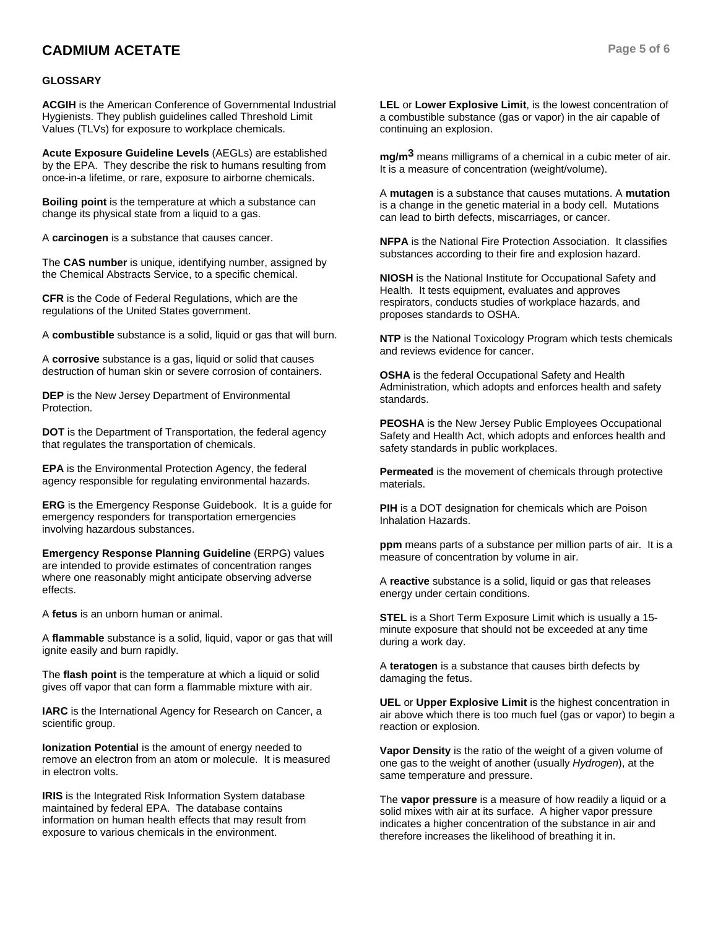# **CADMIUM ACETATE Page 5 of 6**

#### **GLOSSARY**

**ACGIH** is the American Conference of Governmental Industrial Hygienists. They publish guidelines called Threshold Limit Values (TLVs) for exposure to workplace chemicals.

**Acute Exposure Guideline Levels** (AEGLs) are established by the EPA. They describe the risk to humans resulting from once-in-a lifetime, or rare, exposure to airborne chemicals.

**Boiling point** is the temperature at which a substance can change its physical state from a liquid to a gas.

A **carcinogen** is a substance that causes cancer.

The **CAS number** is unique, identifying number, assigned by the Chemical Abstracts Service, to a specific chemical.

**CFR** is the Code of Federal Regulations, which are the regulations of the United States government.

A **combustible** substance is a solid, liquid or gas that will burn.

A **corrosive** substance is a gas, liquid or solid that causes destruction of human skin or severe corrosion of containers.

**DEP** is the New Jersey Department of Environmental Protection.

**DOT** is the Department of Transportation, the federal agency that regulates the transportation of chemicals.

**EPA** is the Environmental Protection Agency, the federal agency responsible for regulating environmental hazards.

**ERG** is the Emergency Response Guidebook. It is a guide for emergency responders for transportation emergencies involving hazardous substances.

**Emergency Response Planning Guideline** (ERPG) values are intended to provide estimates of concentration ranges where one reasonably might anticipate observing adverse effects.

A **fetus** is an unborn human or animal.

A **flammable** substance is a solid, liquid, vapor or gas that will ignite easily and burn rapidly.

The **flash point** is the temperature at which a liquid or solid gives off vapor that can form a flammable mixture with air.

**IARC** is the International Agency for Research on Cancer, a scientific group.

**Ionization Potential** is the amount of energy needed to remove an electron from an atom or molecule. It is measured in electron volts.

**IRIS** is the Integrated Risk Information System database maintained by federal EPA. The database contains information on human health effects that may result from exposure to various chemicals in the environment.

**LEL** or **Lower Explosive Limit**, is the lowest concentration of a combustible substance (gas or vapor) in the air capable of continuing an explosion.

**mg/m3** means milligrams of a chemical in a cubic meter of air. It is a measure of concentration (weight/volume).

A **mutagen** is a substance that causes mutations. A **mutation** is a change in the genetic material in a body cell. Mutations can lead to birth defects, miscarriages, or cancer.

**NFPA** is the National Fire Protection Association. It classifies substances according to their fire and explosion hazard.

**NIOSH** is the National Institute for Occupational Safety and Health. It tests equipment, evaluates and approves respirators, conducts studies of workplace hazards, and proposes standards to OSHA.

**NTP** is the National Toxicology Program which tests chemicals and reviews evidence for cancer.

**OSHA** is the federal Occupational Safety and Health Administration, which adopts and enforces health and safety standards.

**PEOSHA** is the New Jersey Public Employees Occupational Safety and Health Act, which adopts and enforces health and safety standards in public workplaces.

**Permeated** is the movement of chemicals through protective materials.

**PIH** is a DOT designation for chemicals which are Poison Inhalation Hazards.

**ppm** means parts of a substance per million parts of air. It is a measure of concentration by volume in air.

A **reactive** substance is a solid, liquid or gas that releases energy under certain conditions.

**STEL** is a Short Term Exposure Limit which is usually a 15 minute exposure that should not be exceeded at any time during a work day.

A **teratogen** is a substance that causes birth defects by damaging the fetus.

**UEL** or **Upper Explosive Limit** is the highest concentration in air above which there is too much fuel (gas or vapor) to begin a reaction or explosion.

**Vapor Density** is the ratio of the weight of a given volume of one gas to the weight of another (usually *Hydrogen*), at the same temperature and pressure.

The **vapor pressure** is a measure of how readily a liquid or a solid mixes with air at its surface. A higher vapor pressure indicates a higher concentration of the substance in air and therefore increases the likelihood of breathing it in.